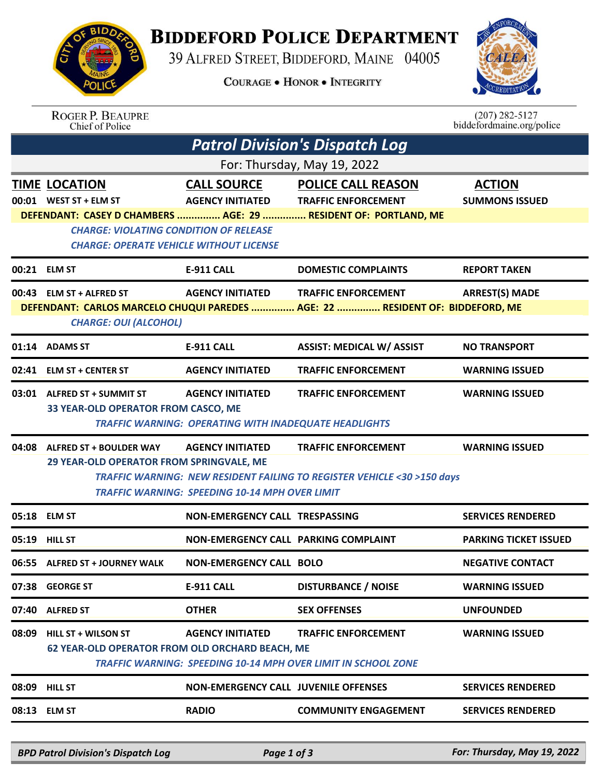## **BIDDEFORD POLICE DEPARTMENT**

39 ALFRED STREET, BIDDEFORD, MAINE 04005

**COURAGE . HONOR . INTEGRITY** 



ROGER P. BEAUPRE<br>Chief of Police

 $(207)$  282-5127 biddefordmaine.org/police

| <b>Patrol Division's Dispatch Log</b> |                                                                                                 |                                                                                         |                                                                                                                                        |                                        |  |  |  |  |
|---------------------------------------|-------------------------------------------------------------------------------------------------|-----------------------------------------------------------------------------------------|----------------------------------------------------------------------------------------------------------------------------------------|----------------------------------------|--|--|--|--|
| For: Thursday, May 19, 2022           |                                                                                                 |                                                                                         |                                                                                                                                        |                                        |  |  |  |  |
|                                       | <b>TIME LOCATION</b><br>00:01 WEST ST + ELM ST                                                  | <b>AGENCY INITIATED</b>                                                                 | <b>CALL SOURCE POLICE CALL REASON</b><br><b>TRAFFIC ENFORCEMENT</b><br>DEFENDANT: CASEY D CHAMBERS  AGE: 29  RESIDENT OF: PORTLAND, ME | <b>ACTION</b><br><b>SUMMONS ISSUED</b> |  |  |  |  |
|                                       | <b>CHARGE: VIOLATING CONDITION OF RELEASE</b><br><b>CHARGE: OPERATE VEHICLE WITHOUT LICENSE</b> |                                                                                         |                                                                                                                                        |                                        |  |  |  |  |
|                                       | 00:21 ELM ST                                                                                    | <b>E-911 CALL</b>                                                                       | <b>DOMESTIC COMPLAINTS</b>                                                                                                             | <b>REPORT TAKEN</b>                    |  |  |  |  |
|                                       | 00:43 ELM ST + ALFRED ST<br><b>CHARGE: OUI (ALCOHOL)</b>                                        | <b>AGENCY INITIATED</b>                                                                 | <b>TRAFFIC ENFORCEMENT</b><br>DEFENDANT: CARLOS MARCELO CHUQUI PAREDES  AGE: 22  RESIDENT OF: BIDDEFORD, ME                            | <b>ARREST(S) MADE</b>                  |  |  |  |  |
|                                       |                                                                                                 |                                                                                         |                                                                                                                                        |                                        |  |  |  |  |
|                                       | 01:14 ADAMS ST                                                                                  | <b>E-911 CALL</b>                                                                       | <b>ASSIST: MEDICAL W/ ASSIST</b>                                                                                                       | <b>NO TRANSPORT</b>                    |  |  |  |  |
|                                       | 02:41 ELM ST + CENTER ST                                                                        | <b>AGENCY INITIATED</b>                                                                 | <b>TRAFFIC ENFORCEMENT</b>                                                                                                             | <b>WARNING ISSUED</b>                  |  |  |  |  |
|                                       | 03:01 ALFRED ST + SUMMIT ST<br>33 YEAR-OLD OPERATOR FROM CASCO, ME                              | <b>AGENCY INITIATED</b><br><b>TRAFFIC WARNING: OPERATING WITH INADEQUATE HEADLIGHTS</b> | <b>TRAFFIC ENFORCEMENT</b>                                                                                                             | <b>WARNING ISSUED</b>                  |  |  |  |  |
|                                       | 04:08 ALFRED ST + BOULDER WAY<br>29 YEAR-OLD OPERATOR FROM SPRINGVALE, ME                       | <b>AGENCY INITIATED</b><br><b>TRAFFIC WARNING: SPEEDING 10-14 MPH OVER LIMIT</b>        | <b>TRAFFIC ENFORCEMENT</b><br><b>TRAFFIC WARNING: NEW RESIDENT FAILING TO REGISTER VEHICLE &lt;30 &gt;150 days</b>                     | <b>WARNING ISSUED</b>                  |  |  |  |  |
|                                       | 05:18 ELM ST                                                                                    | <b>NON-EMERGENCY CALL TRESPASSING</b>                                                   |                                                                                                                                        | <b>SERVICES RENDERED</b>               |  |  |  |  |
|                                       | 05:19 HILL ST                                                                                   | <b>NON-EMERGENCY CALL PARKING COMPLAINT</b>                                             |                                                                                                                                        | <b>PARKING TICKET ISSUED</b>           |  |  |  |  |
|                                       | 06:55 ALFRED ST + JOURNEY WALK                                                                  | <b>NON-EMERGENCY CALL BOLO</b>                                                          |                                                                                                                                        | <b>NEGATIVE CONTACT</b>                |  |  |  |  |
|                                       | 07:38 GEORGE ST                                                                                 | E-911 CALL                                                                              | <b>DISTURBANCE / NOISE</b>                                                                                                             | <b>WARNING ISSUED</b>                  |  |  |  |  |
| 07:40                                 | <b>ALFRED ST</b>                                                                                | <b>OTHER</b>                                                                            | <b>SEX OFFENSES</b>                                                                                                                    | <b>UNFOUNDED</b>                       |  |  |  |  |
| 08:09                                 | <b>HILL ST + WILSON ST</b><br>62 YEAR-OLD OPERATOR FROM OLD ORCHARD BEACH, ME                   | <b>AGENCY INITIATED</b>                                                                 | <b>TRAFFIC ENFORCEMENT</b><br><b>TRAFFIC WARNING: SPEEDING 10-14 MPH OVER LIMIT IN SCHOOL ZONE</b>                                     | <b>WARNING ISSUED</b>                  |  |  |  |  |
|                                       | 08:09 HILL ST                                                                                   | <b>NON-EMERGENCY CALL JUVENILE OFFENSES</b>                                             |                                                                                                                                        | <b>SERVICES RENDERED</b>               |  |  |  |  |
|                                       | 08:13 ELM ST                                                                                    | <b>RADIO</b>                                                                            | <b>COMMUNITY ENGAGEMENT</b>                                                                                                            | <b>SERVICES RENDERED</b>               |  |  |  |  |
|                                       |                                                                                                 |                                                                                         |                                                                                                                                        |                                        |  |  |  |  |

*BPD Patrol Division's Dispatch Log Page 1 of 3 For: Thursday, May 19, 2022*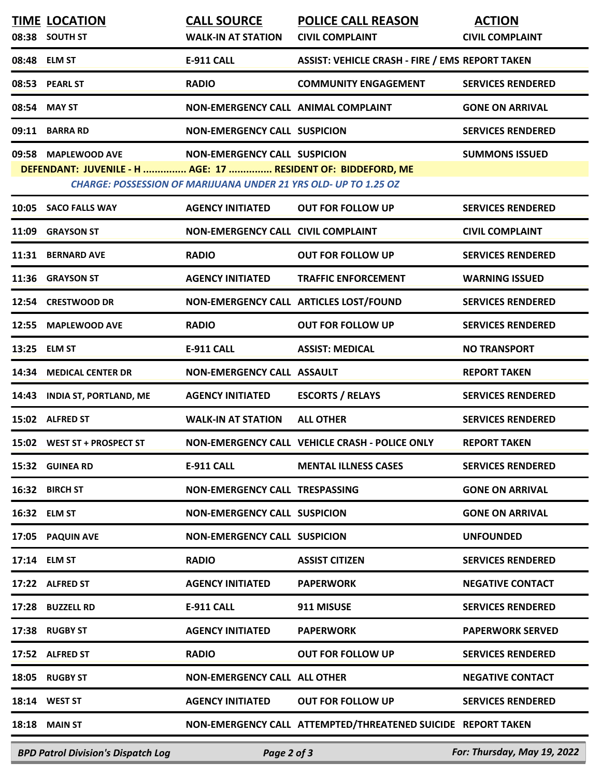|       | <b>TIME LOCATION</b><br>08:38 SOUTH ST                                              | <b>CALL SOURCE</b><br><b>WALK-IN AT STATION</b>                                                               | <b>POLICE CALL REASON</b><br><b>CIVIL COMPLAINT</b>          | <b>ACTION</b><br><b>CIVIL COMPLAINT</b> |
|-------|-------------------------------------------------------------------------------------|---------------------------------------------------------------------------------------------------------------|--------------------------------------------------------------|-----------------------------------------|
|       | 08:48 ELM ST                                                                        | <b>E-911 CALL</b>                                                                                             | <b>ASSIST: VEHICLE CRASH - FIRE / EMS REPORT TAKEN</b>       |                                         |
|       | 08:53 PEARL ST                                                                      | <b>RADIO</b>                                                                                                  | <b>COMMUNITY ENGAGEMENT</b>                                  | <b>SERVICES RENDERED</b>                |
|       | 08:54 MAY ST                                                                        | NON-EMERGENCY CALL ANIMAL COMPLAINT                                                                           |                                                              | <b>GONE ON ARRIVAL</b>                  |
| 09:11 | <b>BARRA RD</b>                                                                     | <b>NON-EMERGENCY CALL SUSPICION</b>                                                                           |                                                              | <b>SERVICES RENDERED</b>                |
|       | 09:58 MAPLEWOOD AVE<br>DEFENDANT: JUVENILE - H  AGE: 17  RESIDENT OF: BIDDEFORD, ME | <b>NON-EMERGENCY CALL SUSPICION</b><br><b>CHARGE: POSSESSION OF MARIJUANA UNDER 21 YRS OLD- UP TO 1.25 OZ</b> |                                                              | <b>SUMMONS ISSUED</b>                   |
|       | 10:05 SACO FALLS WAY                                                                | <b>AGENCY INITIATED</b>                                                                                       | <b>OUT FOR FOLLOW UP</b>                                     | <b>SERVICES RENDERED</b>                |
| 11:09 | <b>GRAYSON ST</b>                                                                   | <b>NON-EMERGENCY CALL CIVIL COMPLAINT</b>                                                                     |                                                              | <b>CIVIL COMPLAINT</b>                  |
|       | 11:31 BERNARD AVE                                                                   | <b>RADIO</b>                                                                                                  | <b>OUT FOR FOLLOW UP</b>                                     | <b>SERVICES RENDERED</b>                |
| 11:36 | <b>GRAYSON ST</b>                                                                   | <b>AGENCY INITIATED</b>                                                                                       | <b>TRAFFIC ENFORCEMENT</b>                                   | <b>WARNING ISSUED</b>                   |
| 12:54 | <b>CRESTWOOD DR</b>                                                                 | NON-EMERGENCY CALL ARTICLES LOST/FOUND                                                                        |                                                              | <b>SERVICES RENDERED</b>                |
| 12:55 | <b>MAPLEWOOD AVE</b>                                                                | <b>RADIO</b>                                                                                                  | <b>OUT FOR FOLLOW UP</b>                                     | <b>SERVICES RENDERED</b>                |
|       | 13:25 ELM ST                                                                        | <b>E-911 CALL</b>                                                                                             | <b>ASSIST: MEDICAL</b>                                       | <b>NO TRANSPORT</b>                     |
| 14:34 | <b>MEDICAL CENTER DR</b>                                                            | <b>NON-EMERGENCY CALL ASSAULT</b>                                                                             |                                                              | <b>REPORT TAKEN</b>                     |
| 14:43 | <b>INDIA ST, PORTLAND, ME</b>                                                       | <b>AGENCY INITIATED</b>                                                                                       | <b>ESCORTS / RELAYS</b>                                      | <b>SERVICES RENDERED</b>                |
|       | 15:02 ALFRED ST                                                                     | <b>WALK-IN AT STATION</b>                                                                                     | <b>ALL OTHER</b>                                             | <b>SERVICES RENDERED</b>                |
|       | 15:02 WEST ST + PROSPECT ST                                                         |                                                                                                               | NON-EMERGENCY CALL VEHICLE CRASH - POLICE ONLY               | <b>REPORT TAKEN</b>                     |
|       | 15:32 GUINEA RD                                                                     | <b>E-911 CALL</b>                                                                                             | <b>MENTAL ILLNESS CASES</b>                                  | <b>SERVICES RENDERED</b>                |
|       | 16:32 BIRCH ST                                                                      | <b>NON-EMERGENCY CALL TRESPASSING</b>                                                                         |                                                              | <b>GONE ON ARRIVAL</b>                  |
|       | 16:32 ELM ST                                                                        | <b>NON-EMERGENCY CALL SUSPICION</b>                                                                           |                                                              | <b>GONE ON ARRIVAL</b>                  |
|       | 17:05 PAQUIN AVE                                                                    | <b>NON-EMERGENCY CALL SUSPICION</b>                                                                           |                                                              | <b>UNFOUNDED</b>                        |
|       | 17:14 ELM ST                                                                        | <b>RADIO</b>                                                                                                  | <b>ASSIST CITIZEN</b>                                        | <b>SERVICES RENDERED</b>                |
|       | 17:22 ALFRED ST                                                                     | <b>AGENCY INITIATED</b>                                                                                       | <b>PAPERWORK</b>                                             | <b>NEGATIVE CONTACT</b>                 |
|       | 17:28 BUZZELL RD                                                                    | <b>E-911 CALL</b>                                                                                             | 911 MISUSE                                                   | <b>SERVICES RENDERED</b>                |
|       | 17:38 RUGBY ST                                                                      | <b>AGENCY INITIATED</b>                                                                                       | <b>PAPERWORK</b>                                             | <b>PAPERWORK SERVED</b>                 |
|       | 17:52 ALFRED ST                                                                     | <b>RADIO</b>                                                                                                  | <b>OUT FOR FOLLOW UP</b>                                     | <b>SERVICES RENDERED</b>                |
|       | 18:05 RUGBY ST                                                                      | <b>NON-EMERGENCY CALL ALL OTHER</b>                                                                           |                                                              | <b>NEGATIVE CONTACT</b>                 |
|       | 18:14 WEST ST                                                                       | <b>AGENCY INITIATED</b>                                                                                       | <b>OUT FOR FOLLOW UP</b>                                     | <b>SERVICES RENDERED</b>                |
|       | <b>18:18 MAIN ST</b>                                                                |                                                                                                               | NON-EMERGENCY CALL ATTEMPTED/THREATENED SUICIDE REPORT TAKEN |                                         |

*BPD Patrol Division's Dispatch Log Page 2 of 3 For: Thursday, May 19, 2022*